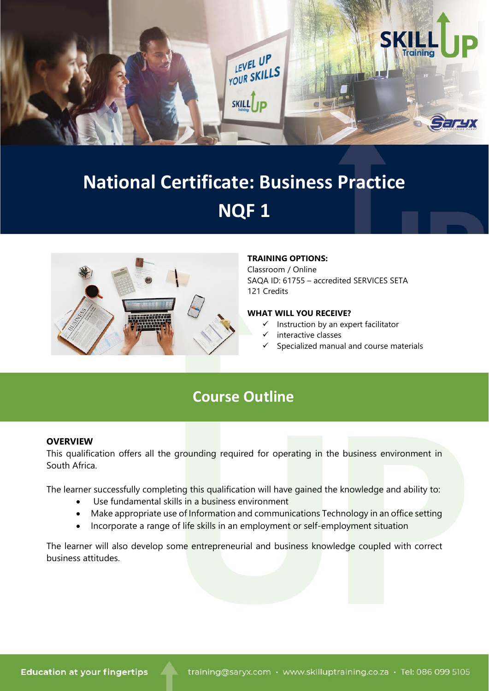

# **National Certificate: Business Practice NQF 1**



#### **TRAINING OPTIONS:**

Classroom / Online SAQA ID: 61755 – accredited SERVICES SETA 121 Credits

#### **WHAT WILL YOU RECEIVE?**

- Instruction by an expert facilitator
- interactive classes
- ✓ Specialized manual and course materials

# **Course Outline**

#### **OVERVIEW**

This qualification offers all the grounding required for operating in the business environment in South Africa.

The learner successfully completing this qualification will have gained the knowledge and ability to:

- Use fundamental skills in a business environment
- Make appropriate use of Information and communications Technology in an office setting
- Incorporate a range of life skills in an employment or self-employment situation

The learner will also develop some entrepreneurial and business knowledge coupled with correct business attitudes.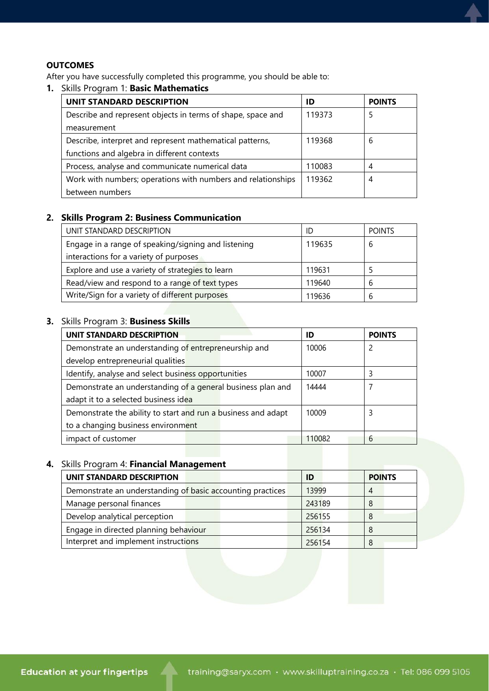### **OUTCOMES**

After you have successfully completed this programme, you should be able to:

# **1.** Skills Program 1: **Basic Mathematics**

| UNIT STANDARD DESCRIPTION                                    | ID     | <b>POINTS</b> |
|--------------------------------------------------------------|--------|---------------|
| Describe and represent objects in terms of shape, space and  | 119373 |               |
| measurement                                                  |        |               |
| Describe, interpret and represent mathematical patterns,     | 119368 | 6             |
| functions and algebra in different contexts                  |        |               |
| Process, analyse and communicate numerical data              | 110083 |               |
| Work with numbers; operations with numbers and relationships | 119362 | 4             |
| between numbers                                              |        |               |

## **2. Skills Program 2: Business Communication**

| UNIT STANDARD DESCRIPTION                           | ID     | <b>POINTS</b> |
|-----------------------------------------------------|--------|---------------|
| Engage in a range of speaking/signing and listening | 119635 | b             |
| interactions for a variety of purposes              |        |               |
| Explore and use a variety of strategies to learn    | 119631 |               |
| Read/view and respond to a range of text types      | 119640 | h             |
| Write/Sign for a variety of different purposes      | 119636 |               |

# **3.** Skills Program 3: **Business Skills**

| UNIT STANDARD DESCRIPTION                                     | ID     | <b>POINTS</b> |
|---------------------------------------------------------------|--------|---------------|
| Demonstrate an understanding of entrepreneurship and          | 10006  | 2             |
| develop entrepreneurial qualities                             |        |               |
| Identify, analyse and select business opportunities           | 10007  |               |
| Demonstrate an understanding of a general business plan and   | 14444  |               |
| adapt it to a selected business idea                          |        |               |
| Demonstrate the ability to start and run a business and adapt | 10009  |               |
| to a changing business environment                            |        |               |
| impact of customer                                            | 110082 | 6             |

# **4.** Skills Program 4: **Financial Management**

| UNIT STANDARD DESCRIPTION                                  | ID     | <b>POINTS</b> |
|------------------------------------------------------------|--------|---------------|
| Demonstrate an understanding of basic accounting practices | 13999  | 4             |
| Manage personal finances                                   | 243189 | -8            |
| Develop analytical perception                              | 256155 | -8            |
| Engage in directed planning behaviour                      | 256134 | -8            |
| Interpret and implement instructions                       | 256154 | 8             |